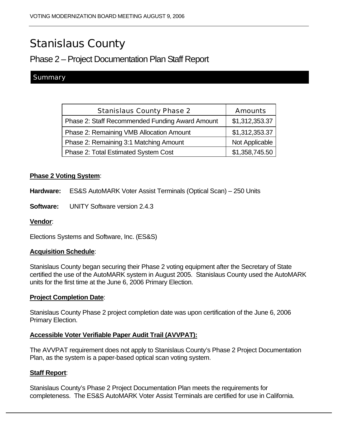# Stanislaus County

## Phase 2 – Project Documentation Plan Staff Report

### Summary

| <b>Stanislaus County Phase 2</b>                | <b>Amounts</b> |
|-------------------------------------------------|----------------|
| Phase 2: Staff Recommended Funding Award Amount | \$1,312,353.37 |
| Phase 2: Remaining VMB Allocation Amount        | \$1,312,353.37 |
| Phase 2: Remaining 3:1 Matching Amount          | Not Applicable |
| Phase 2: Total Estimated System Cost            | \$1,358,745.50 |

#### **Phase 2 Voting System**:

**Hardware:** ES&S AutoMARK Voter Assist Terminals (Optical Scan) – 250 Units

**Software:** UNITY Software version 2.4.3

#### **Vendor**:

Elections Systems and Software, Inc. (ES&S)

#### **Acquisition Schedule**:

Stanislaus County began securing their Phase 2 voting equipment after the Secretary of State certified the use of the AutoMARK system in August 2005. Stanislaus County used the AutoMARK units for the first time at the June 6, 2006 Primary Election.

#### **Project Completion Date**:

Stanislaus County Phase 2 project completion date was upon certification of the June 6, 2006 Primary Election.

#### **Accessible Voter Verifiable Paper Audit Trail (AVVPAT):**

The AVVPAT requirement does not apply to Stanislaus County's Phase 2 Project Documentation Plan, as the system is a paper-based optical scan voting system.

#### **Staff Report**:

Stanislaus County's Phase 2 Project Documentation Plan meets the requirements for completeness. The ES&S AutoMARK Voter Assist Terminals are certified for use in California.